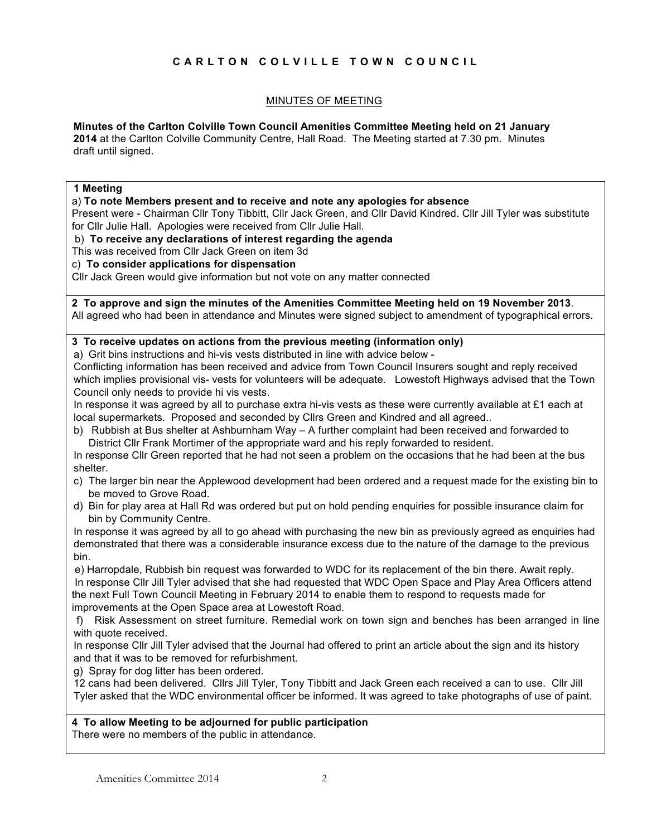# **CARLTON COLVILLE TOWN COUNCIL**

## MINUTES OF MEETING

## **Minutes of the Carlton Colville Town Council Amenities Committee Meeting held on 21 January**

**2014** at the Carlton Colville Community Centre, Hall Road. The Meeting started at 7.30 pm. Minutes draft until signed.

#### **1 Meeting**

#### a) **To note Members present and to receive and note any apologies for absence**

Present were - Chairman Cllr Tony Tibbitt, Cllr Jack Green, and Cllr David Kindred. Cllr Jill Tyler was substitute for Cllr Julie Hall. Apologies were received from Cllr Julie Hall.

b) **To receive any declarations of interest regarding the agenda**

This was received from Cllr Jack Green on item 3d

## c) **To consider applications for dispensation**

Cllr Jack Green would give information but not vote on any matter connected

**2 To approve and sign the minutes of the Amenities Committee Meeting held on 19 November 2013**. All agreed who had been in attendance and Minutes were signed subject to amendment of typographical errors.

## **3 To receive updates on actions from the previous meeting (information only)**

a) Grit bins instructions and hi-vis vests distributed in line with advice below -

Conflicting information has been received and advice from Town Council Insurers sought and reply received which implies provisional vis- vests for volunteers will be adequate. Lowestoft Highways advised that the Town Council only needs to provide hi vis vests.

In response it was agreed by all to purchase extra hi-vis vests as these were currently available at £1 each at local supermarkets. Proposed and seconded by Cllrs Green and Kindred and all agreed..

b) Rubbish at Bus shelter at Ashburnham Way – A further complaint had been received and forwarded to District Cllr Frank Mortimer of the appropriate ward and his reply forwarded to resident.

In response Cllr Green reported that he had not seen a problem on the occasions that he had been at the bus shelter.

- c) The larger bin near the Applewood development had been ordered and a request made for the existing bin to be moved to Grove Road.
- d) Bin for play area at Hall Rd was ordered but put on hold pending enquiries for possible insurance claim for bin by Community Centre.

In response it was agreed by all to go ahead with purchasing the new bin as previously agreed as enquiries had demonstrated that there was a considerable insurance excess due to the nature of the damage to the previous bin.

e) Harropdale, Rubbish bin request was forwarded to WDC for its replacement of the bin there. Await reply. In response Cllr Jill Tyler advised that she had requested that WDC Open Space and Play Area Officers attend the next Full Town Council Meeting in February 2014 to enable them to respond to requests made for improvements at the Open Space area at Lowestoft Road.

f) Risk Assessment on street furniture. Remedial work on town sign and benches has been arranged in line with quote received.

In response Cllr Jill Tyler advised that the Journal had offered to print an article about the sign and its history and that it was to be removed for refurbishment.

g) Spray for dog litter has been ordered.

12 cans had been delivered. Cllrs Jill Tyler, Tony Tibbitt and Jack Green each received a can to use. Cllr Jill Tyler asked that the WDC environmental officer be informed. It was agreed to take photographs of use of paint.

## **4 To allow Meeting to be adjourned for public participation**

There were no members of the public in attendance.